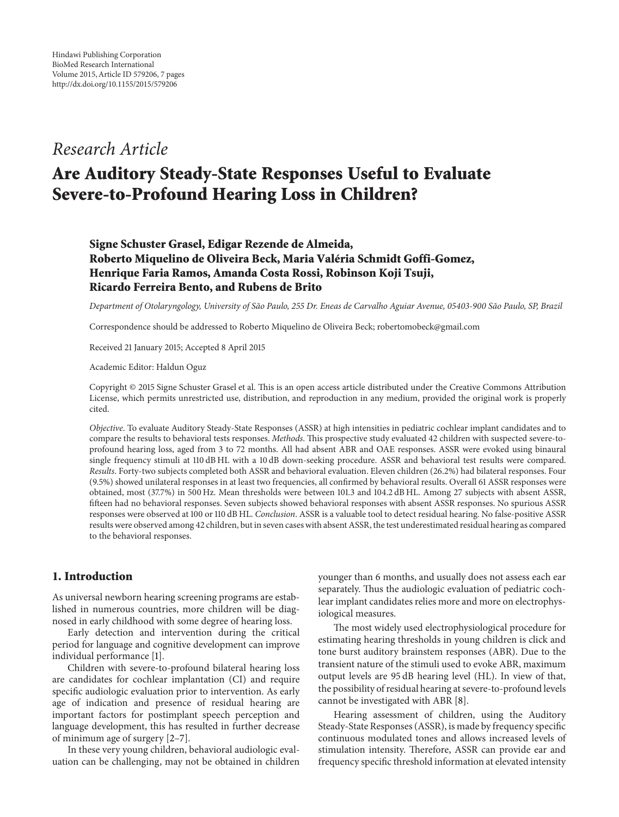## *Research Article*

# **Are Auditory Steady-State Responses Useful to Evaluate Severe-to-Profound Hearing Loss in Children?**

### **Signe Schuster Grasel, Edigar Rezende de Almeida, Roberto Miquelino de Oliveira Beck, Maria Valéria Schmidt Goffi-Gomez, Henrique Faria Ramos, Amanda Costa Rossi, Robinson Koji Tsuji, Ricardo Ferreira Bento, and Rubens de Brito**

*Department of Otolaryngology, University of Sao Paulo, 255 Dr. Eneas de Carvalho Aguiar Avenue, 05403-900 S ˜ ao Paulo, SP, Brazil ˜*

Correspondence should be addressed to Roberto Miquelino de Oliveira Beck; robertomobeck@gmail.com

Received 21 January 2015; Accepted 8 April 2015

Academic Editor: Haldun Oguz

Copyright © 2015 Signe Schuster Grasel et al. This is an open access article distributed under the Creative Commons Attribution License, which permits unrestricted use, distribution, and reproduction in any medium, provided the original work is properly cited.

*Objective*. To evaluate Auditory Steady-State Responses (ASSR) at high intensities in pediatric cochlear implant candidates and to compare the results to behavioral tests responses. *Methods*. This prospective study evaluated 42 children with suspected severe-toprofound hearing loss, aged from 3 to 72 months. All had absent ABR and OAE responses. ASSR were evoked using binaural single frequency stimuli at 110 dB HL with a 10 dB down-seeking procedure. ASSR and behavioral test results were compared. *Results*. Forty-two subjects completed both ASSR and behavioral evaluation. Eleven children (26.2%) had bilateral responses. Four (9.5%) showed unilateral responses in at least two frequencies, all confirmed by behavioral results. Overall 61 ASSR responses were obtained, most (37.7%) in 500 Hz. Mean thresholds were between 101.3 and 104.2 dB HL. Among 27 subjects with absent ASSR, fifteen had no behavioral responses. Seven subjects showed behavioral responses with absent ASSR responses. No spurious ASSR responses were observed at 100 or 110 dB HL. *Conclusion*. ASSR is a valuable tool to detect residual hearing. No false-positive ASSR results were observed among 42 children, but in seven cases with absent ASSR, the test underestimated residual hearing as compared to the behavioral responses.

#### **1. Introduction**

As universal newborn hearing screening programs are established in numerous countries, more children will be diagnosed in early childhood with some degree of hearing loss.

Early detection and intervention during the critical period for language and cognitive development can improve individual performance [1].

Children with severe-to-profound bilateral hearing loss are candidates for cochlear implantation (CI) and require specific audiologic evaluation prior to intervention. As early age of indication and presence of residual hearing are important factors for postimplant speech perception and language development, this has resulted in further decrease of minimum age of surgery [2–7].

In these very young children, behavioral audiologic evaluation can be challenging, may not be obtained in children younger than 6 months, and usually does not assess each ear separately. Thus the audiologic evaluation of pediatric cochlear implant candidates relies more and more on electrophysiological measures.

The most widely used electrophysiological procedure for estimating hearing thresholds in young children is click and tone burst auditory brainstem responses (ABR). Due to the transient nature of the stimuli used to evoke ABR, maximum output levels are 95 dB hearing level (HL). In view of that, the possibility of residual hearing at severe-to-profound levels cannot be investigated with ABR [8].

Hearing assessment of children, using the Auditory Steady-State Responses (ASSR), is made by frequency specific continuous modulated tones and allows increased levels of stimulation intensity. Therefore, ASSR can provide ear and frequency specific threshold information at elevated intensity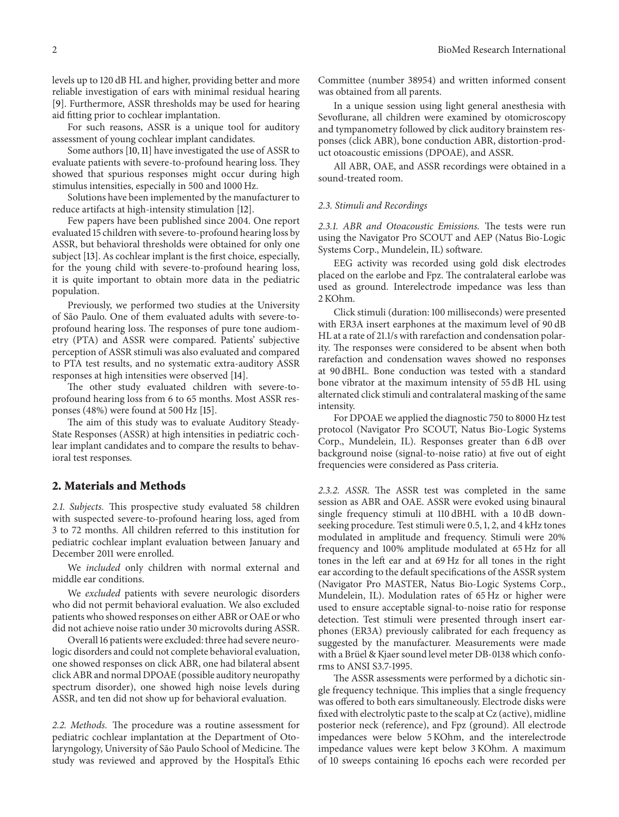levels up to 120 dB HL and higher, providing better and more reliable investigation of ears with minimal residual hearing [9]. Furthermore, ASSR thresholds may be used for hearing aid fitting prior to cochlear implantation.

For such reasons, ASSR is a unique tool for auditory assessment of young cochlear implant candidates.

Some authors [10, 11] have investigated the use of ASSR to evaluate patients with severe-to-profound hearing loss. They showed that spurious responses might occur during high stimulus intensities, especially in 500 and 1000 Hz.

Solutions have been implemented by the manufacturer to reduce artifacts at high-intensity stimulation [12].

Few papers have been published since 2004. One report evaluated 15 children with severe-to-profound hearing loss by ASSR, but behavioral thresholds were obtained for only one subject [13]. As cochlear implant is the first choice, especially, for the young child with severe-to-profound hearing loss, it is quite important to obtain more data in the pediatric population.

Previously, we performed two studies at the University of São Paulo. One of them evaluated adults with severe-toprofound hearing loss. The responses of pure tone audiometry (PTA) and ASSR were compared. Patients' subjective perception of ASSR stimuli was also evaluated and compared to PTA test results, and no systematic extra-auditory ASSR responses at high intensities were observed [14].

The other study evaluated children with severe-toprofound hearing loss from 6 to 65 months. Most ASSR responses (48%) were found at 500 Hz [15].

The aim of this study was to evaluate Auditory Steady-State Responses (ASSR) at high intensities in pediatric cochlear implant candidates and to compare the results to behavioral test responses.

#### **2. Materials and Methods**

*2.1. Subjects.* This prospective study evaluated 58 children with suspected severe-to-profound hearing loss, aged from 3 to 72 months. All children referred to this institution for pediatric cochlear implant evaluation between January and December 2011 were enrolled.

We *included* only children with normal external and middle ear conditions.

We *excluded* patients with severe neurologic disorders who did not permit behavioral evaluation. We also excluded patients who showed responses on either ABR or OAE or who did not achieve noise ratio under 30 microvolts during ASSR.

Overall 16 patients were excluded: three had severe neurologic disorders and could not complete behavioral evaluation, one showed responses on click ABR, one had bilateral absent click ABR and normal DPOAE (possible auditory neuropathy spectrum disorder), one showed high noise levels during ASSR, and ten did not show up for behavioral evaluation.

*2.2. Methods.* The procedure was a routine assessment for pediatric cochlear implantation at the Department of Otolaryngology, University of São Paulo School of Medicine. The study was reviewed and approved by the Hospital's Ethic

Committee (number 38954) and written informed consent was obtained from all parents.

In a unique session using light general anesthesia with Sevoflurane, all children were examined by otomicroscopy and tympanometry followed by click auditory brainstem responses (click ABR), bone conduction ABR, distortion-product otoacoustic emissions (DPOAE), and ASSR.

All ABR, OAE, and ASSR recordings were obtained in a sound-treated room.

#### *2.3. Stimuli and Recordings*

*2.3.1. ABR and Otoacoustic Emissions.* The tests were run using the Navigator Pro SCOUT and AEP (Natus Bio-Logic Systems Corp., Mundelein, IL) software.

EEG activity was recorded using gold disk electrodes placed on the earlobe and Fpz. The contralateral earlobe was used as ground. Interelectrode impedance was less than 2 KOhm.

Click stimuli (duration: 100 milliseconds) were presented with ER3A insert earphones at the maximum level of 90 dB HL at a rate of 21.1/s with rarefaction and condensation polarity. The responses were considered to be absent when both rarefaction and condensation waves showed no responses at 90 dBHL. Bone conduction was tested with a standard bone vibrator at the maximum intensity of 55 dB HL using alternated click stimuli and contralateral masking of the same intensity.

For DPOAE we applied the diagnostic 750 to 8000 Hz test protocol (Navigator Pro SCOUT, Natus Bio-Logic Systems Corp., Mundelein, IL). Responses greater than 6 dB over background noise (signal-to-noise ratio) at five out of eight frequencies were considered as Pass criteria.

*2.3.2. ASSR.* The ASSR test was completed in the same session as ABR and OAE. ASSR were evoked using binaural single frequency stimuli at 110 dBHL with a 10 dB downseeking procedure. Test stimuli were 0.5, 1, 2, and 4 kHz tones modulated in amplitude and frequency. Stimuli were 20% frequency and 100% amplitude modulated at 65 Hz for all tones in the left ear and at 69 Hz for all tones in the right ear according to the default specifications of the ASSR system (Navigator Pro MASTER, Natus Bio-Logic Systems Corp., Mundelein, IL). Modulation rates of 65 Hz or higher were used to ensure acceptable signal-to-noise ratio for response detection. Test stimuli were presented through insert earphones (ER3A) previously calibrated for each frequency as suggested by the manufacturer. Measurements were made with a Brüel & Kjaer sound level meter DB-0138 which conforms to ANSI S3.7-1995.

The ASSR assessments were performed by a dichotic single frequency technique. This implies that a single frequency was offered to both ears simultaneously. Electrode disks were fixed with electrolytic paste to the scalp at Cz (active), midline posterior neck (reference), and Fpz (ground). All electrode impedances were below 5 KOhm, and the interelectrode impedance values were kept below 3 KOhm. A maximum of 10 sweeps containing 16 epochs each were recorded per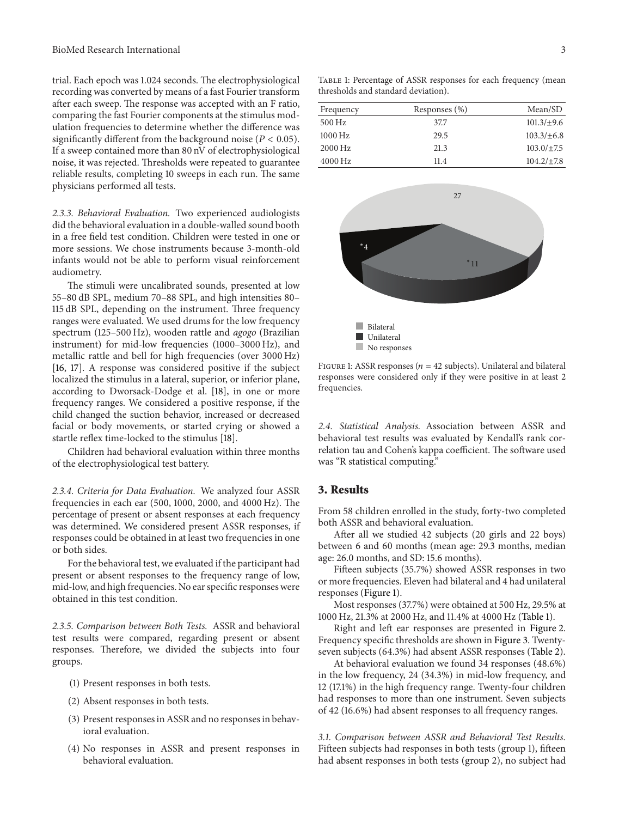trial. Each epoch was 1.024 seconds. The electrophysiological recording was converted by means of a fast Fourier transform after each sweep. The response was accepted with an F ratio, comparing the fast Fourier components at the stimulus modulation frequencies to determine whether the difference was significantly different from the background noise ( $P < 0.05$ ). If a sweep contained more than 80 nV of electrophysiological noise, it was rejected. Thresholds were repeated to guarantee reliable results, completing 10 sweeps in each run. The same physicians performed all tests.

*2.3.3. Behavioral Evaluation.* Two experienced audiologists did the behavioral evaluation in a double-walled sound booth in a free field test condition. Children were tested in one or more sessions. We chose instruments because 3-month-old infants would not be able to perform visual reinforcement audiometry.

The stimuli were uncalibrated sounds, presented at low 55–80 dB SPL, medium 70–88 SPL, and high intensities 80– 115 dB SPL, depending on the instrument. Three frequency ranges were evaluated. We used drums for the low frequency spectrum (125–500 Hz), wooden rattle and *agogo* (Brazilian instrument) for mid-low frequencies (1000–3000 Hz), and metallic rattle and bell for high frequencies (over 3000 Hz) [16, 17]. A response was considered positive if the subject localized the stimulus in a lateral, superior, or inferior plane, according to Dworsack-Dodge et al. [18], in one or more frequency ranges. We considered a positive response, if the child changed the suction behavior, increased or decreased facial or body movements, or started crying or showed a startle reflex time-locked to the stimulus [18].

Children had behavioral evaluation within three months of the electrophysiological test battery.

*2.3.4. Criteria for Data Evaluation.* We analyzed four ASSR frequencies in each ear (500, 1000, 2000, and 4000 Hz). The percentage of present or absent responses at each frequency was determined. We considered present ASSR responses, if responses could be obtained in at least two frequencies in one or both sides.

For the behavioral test, we evaluated if the participant had present or absent responses to the frequency range of low, mid-low, and high frequencies. No ear specific responses were obtained in this test condition.

*2.3.5. Comparison between Both Tests.* ASSR and behavioral test results were compared, regarding present or absent responses. Therefore, we divided the subjects into four groups.

- (1) Present responses in both tests.
- (2) Absent responses in both tests.
- (3) Present responses in ASSR and no responses in behavioral evaluation.
- (4) No responses in ASSR and present responses in behavioral evaluation.

Table 1: Percentage of ASSR responses for each frequency (mean thresholds and standard deviation).

| Frequency           | Responses (%) | Mean/SD         |
|---------------------|---------------|-----------------|
| 500 Hz              | 37.7          | $101.3/\pm9.6$  |
| $1000\,\mathrm{Hz}$ | 29.5          | $103.3/\pm 6.8$ |
| 2000 Hz             | 21.3          | $103.0/\pm 7.5$ |
| $4000$ Hz           | 11.4          | $104.2/\pm 7.8$ |



FIGURE 1: ASSR responses ( $n = 42$  subjects). Unilateral and bilateral responses were considered only if they were positive in at least 2 frequencies.

*2.4. Statistical Analysis.* Association between ASSR and behavioral test results was evaluated by Kendall's rank correlation tau and Cohen's kappa coefficient. The software used was "R statistical computing."

#### **3. Results**

From 58 children enrolled in the study, forty-two completed both ASSR and behavioral evaluation.

After all we studied 42 subjects (20 girls and 22 boys) between 6 and 60 months (mean age: 29.3 months, median age: 26.0 months, and SD: 15.6 months).

Fifteen subjects (35.7%) showed ASSR responses in two or more frequencies. Eleven had bilateral and 4 had unilateral responses (Figure 1).

Most responses (37.7%) were obtained at 500 Hz, 29.5% at 1000 Hz, 21.3% at 2000 Hz, and 11.4% at 4000 Hz (Table 1).

Right and left ear responses are presented in Figure 2. Frequency specific thresholds are shown in Figure 3. Twentyseven subjects (64.3%) had absent ASSR responses (Table 2).

At behavioral evaluation we found 34 responses (48.6%) in the low frequency, 24 (34.3%) in mid-low frequency, and 12 (17.1%) in the high frequency range. Twenty-four children had responses to more than one instrument. Seven subjects of 42 (16.6%) had absent responses to all frequency ranges.

*3.1. Comparison between ASSR and Behavioral Test Results.* Fifteen subjects had responses in both tests (group 1), fifteen had absent responses in both tests (group 2), no subject had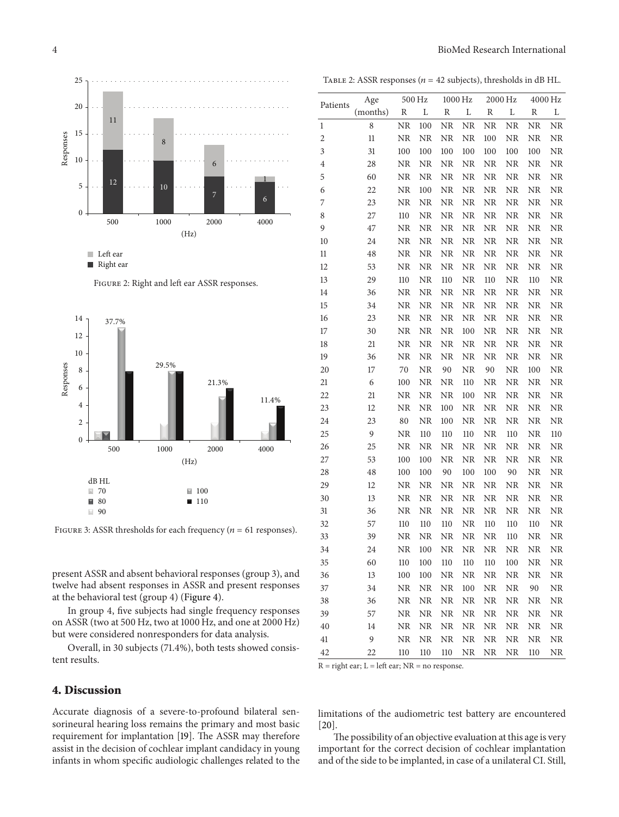

Right ear





FIGURE 3: ASSR thresholds for each frequency ( $n = 61$  responses).

present ASSR and absent behavioral responses (group 3), and twelve had absent responses in ASSR and present responses at the behavioral test (group 4) (Figure 4).

In group 4, five subjects had single frequency responses on ASSR (two at 500 Hz, two at 1000 Hz, and one at 2000 Hz) but were considered nonresponders for data analysis.

Overall, in 30 subjects (71.4%), both tests showed consistent results.

#### **4. Discussion**

Accurate diagnosis of a severe-to-profound bilateral sensorineural hearing loss remains the primary and most basic requirement for implantation [19]. The ASSR may therefore assist in the decision of cochlear implant candidacy in young infants in whom specific audiologic challenges related to the

TABLE 2: ASSR responses ( $n = 42$  subjects), thresholds in dB HL.

| Patients       | Age      | 500 Hz    |            | 1000 Hz   |           | 2000 Hz    |            | 4000 Hz    |            |
|----------------|----------|-----------|------------|-----------|-----------|------------|------------|------------|------------|
|                | (months) | R         | L          | R         | L         | R          | L          | R          | L          |
| $\mathbf{1}$   | 8        | <b>NR</b> | 100        | <b>NR</b> | <b>NR</b> | <b>NR</b>  | NR         | NR         | NR         |
| $\overline{c}$ | 11       | <b>NR</b> | <b>NR</b>  | NR        | NR        | 100        | NR         | NR         | NR         |
| $\mathfrak{Z}$ | 31       | 100       | 100        | 100       | 100       | 100        | 100        | 100        | ${\rm NR}$ |
| $\overline{4}$ | 28       | NR        | $\rm NR$   | NR        | NR        | NR         | NR         | NR         | ${\rm NR}$ |
| 5              | 60       | NR        | <b>NR</b>  | NR        | NR        | <b>NR</b>  | NR         | NR         | ${\rm NR}$ |
| 6              | 22       | NR        | 100        | NR        | <b>NR</b> | <b>NR</b>  | NR         | NR         | ${\rm NR}$ |
| 7              | 23       | NR        | <b>NR</b>  | NR        | <b>NR</b> | <b>NR</b>  | NR         | NR         | ${\rm NR}$ |
| 8              | 27       | 110       | <b>NR</b>  | <b>NR</b> | NR        | <b>NR</b>  | NR         | <b>NR</b>  | NR         |
| 9              | 47       | NR        | <b>NR</b>  | NR        | <b>NR</b> | NR         | NR         | <b>NR</b>  | $\rm NR$   |
| 10             | 24       | NR        | <b>NR</b>  | NR        | <b>NR</b> | $\rm NR$   | NR         | NR         | NR         |
| 11             | 48       | <b>NR</b> | NR         | <b>NR</b> | NR        | <b>NR</b>  | <b>NR</b>  | NR         | $\rm NR$   |
| 12             | 53       | NR        | NR         | NR        | NR        | <b>NR</b>  | NR         | NR         | $\rm NR$   |
| 13             | 29       | 110       | NR         | 110       | NR        | 110        | NR         | 110        | NR         |
| 14             | 36       | <b>NR</b> | NR         | NR        | NR        | NR         | NR         | NR         | $\rm NR$   |
| 15             | 34       | NR        | NR         | NR        | <b>NR</b> | NR         | NR         | NR         | $\rm NR$   |
| 16             | 23       | NR        | ${\rm NR}$ | NR        | <b>NR</b> | NR         | NR         | NR         | $\rm NR$   |
| 17             | 30       | NR        | ${\rm NR}$ | NR        | 100       | <b>NR</b>  | NR         | NR         | ${\rm NR}$ |
| 18             | 21       | NR        | NR         | NR        | <b>NR</b> | <b>NR</b>  | NR         | NR         | $\rm NR$   |
| 19             | 36       | <b>NR</b> | NR         | NR        | <b>NR</b> | <b>NR</b>  | NR         | NR         | NR         |
| 20             | 17       | 70        | NR         | 90        | NR        | 90         | NR         | 100        | NR         |
| 21             | 6        | 100       | <b>NR</b>  | <b>NR</b> | 110       | <b>NR</b>  | NR         | <b>NR</b>  | <b>NR</b>  |
| 22             | 21       | NR        | NR         | <b>NR</b> | 100       | <b>NR</b>  | NR         | <b>NR</b>  | NR         |
| 23             | 12       | <b>NR</b> | <b>NR</b>  | 100       | <b>NR</b> | <b>NR</b>  | NR         | NR         | NR         |
| 24             | 23       | 80        | <b>NR</b>  | 100       | NR        | <b>NR</b>  | NR         | NR         | NR         |
| 25             | 9        | NR        | 110        | 110       | 110       | <b>NR</b>  | 110        | NR         | 110        |
| 26             | 25       | <b>NR</b> | NR         | NR        | NR        | <b>NR</b>  | NR         | NR         | <b>NR</b>  |
| 27             | 53       | 100       | 100        | <b>NR</b> | NR        | NR         | NR         | NR         | NR         |
| 28             | 48       | 100       | 100        | 90        | 100       | 100        | 90         | NR         | <b>NR</b>  |
| 29             | 12       | NR        | NR         | NR        | NR        | ${\rm NR}$ | NR         | NR         | ${\rm NR}$ |
| 30             | 13       | NR        | NR         | NR        | NR        | NR         | NR         | NR         | ${\rm NR}$ |
| 31             | 36       | NR        | <b>NR</b>  | NR        | NR        | <b>NR</b>  | <b>NR</b>  | ${\rm NR}$ | ${\rm NR}$ |
| 32             | 57       | 110       | 110        | 110       | NR        | 110        | 110        | 110        | NR         |
| 33             | 39       | <b>NR</b> | <b>NR</b>  | NR        | <b>NR</b> | <b>NR</b>  | 110        | NR         | NR         |
| 34             | 24       | NR        | 100        | NR        | <b>NR</b> | <b>NR</b>  | NR         | NR         | NR         |
| 35             | 60       | 110       | 100        | 110       | 110       | 110        | 100        | NR         | <b>NR</b>  |
| 36             | 13       | 100       | 100        | NR        | <b>NR</b> | NR         | <b>NR</b>  | <b>NR</b>  | NR         |
| 37             | 34       | <b>NR</b> | NR         | NR        | 100       | <b>NR</b>  | NR         | 90         | NR         |
| 38             | 36       | <b>NR</b> | NR         | <b>NR</b> | <b>NR</b> | <b>NR</b>  | NR         | <b>NR</b>  | NR         |
| 39             | 57       | <b>NR</b> | NR         | NR        | <b>NR</b> | <b>NR</b>  | NR         | NR         | NR         |
| 40             | 14       | NR        | NR         | NR        | <b>NR</b> | NR         | NR         | NR         | NR         |
| 41             | 9        | $\rm NR$  | $\rm NR$   | $\rm NR$  | $\rm NR$  | $\rm NR$   | ${\rm NR}$ | ${\rm NR}$ | $\rm NR$   |
| 42             | 22       | 110       | 110        | 110       | $\rm NR$  | $\rm NR$   | NR         | 110        | ${\rm NR}$ |

 $R =$  right ear;  $L =$  left ear;  $NR =$  no response.

limitations of the audiometric test battery are encountered [20].

The possibility of an objective evaluation at this age is very important for the correct decision of cochlear implantation and of the side to be implanted, in case of a unilateral CI. Still,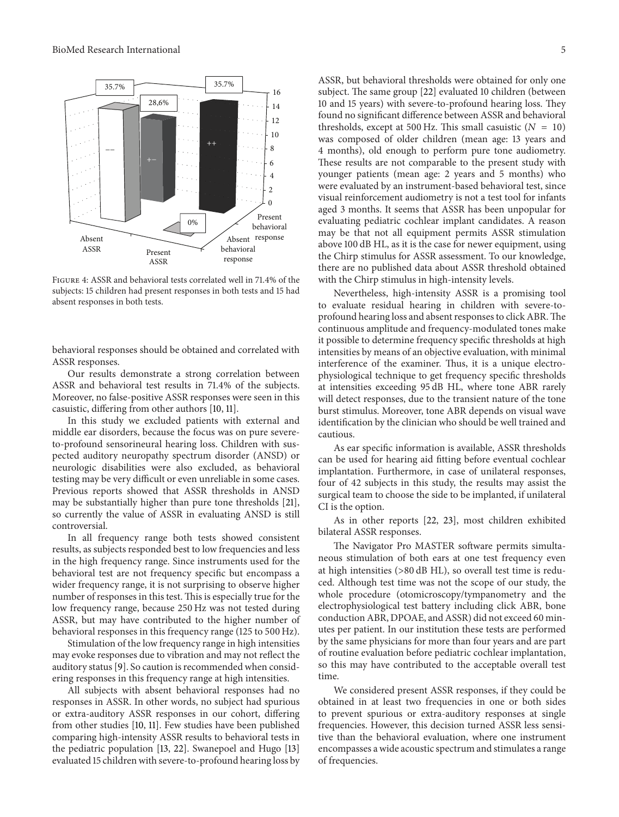

Figure 4: ASSR and behavioral tests correlated well in 71.4% of the subjects: 15 children had present responses in both tests and 15 had absent responses in both tests.

behavioral responses should be obtained and correlated with ASSR responses.

Our results demonstrate a strong correlation between ASSR and behavioral test results in 71.4% of the subjects. Moreover, no false-positive ASSR responses were seen in this casuistic, differing from other authors [10, 11].

In this study we excluded patients with external and middle ear disorders, because the focus was on pure severeto-profound sensorineural hearing loss. Children with suspected auditory neuropathy spectrum disorder (ANSD) or neurologic disabilities were also excluded, as behavioral testing may be very difficult or even unreliable in some cases. Previous reports showed that ASSR thresholds in ANSD may be substantially higher than pure tone thresholds [21], so currently the value of ASSR in evaluating ANSD is still controversial.

In all frequency range both tests showed consistent results, as subjects responded best to low frequencies and less in the high frequency range. Since instruments used for the behavioral test are not frequency specific but encompass a wider frequency range, it is not surprising to observe higher number of responses in this test. This is especially true for the low frequency range, because 250 Hz was not tested during ASSR, but may have contributed to the higher number of behavioral responses in this frequency range (125 to 500 Hz).

Stimulation of the low frequency range in high intensities may evoke responses due to vibration and may not reflect the auditory status [9]. So caution is recommended when considering responses in this frequency range at high intensities.

All subjects with absent behavioral responses had no responses in ASSR. In other words, no subject had spurious or extra-auditory ASSR responses in our cohort, differing from other studies [10, 11]. Few studies have been published comparing high-intensity ASSR results to behavioral tests in the pediatric population [13, 22]. Swanepoel and Hugo [13] evaluated 15 children with severe-to-profound hearing loss by ASSR, but behavioral thresholds were obtained for only one subject. The same group [22] evaluated 10 children (between 10 and 15 years) with severe-to-profound hearing loss. They found no significant difference between ASSR and behavioral thresholds, except at 500 Hz. This small casuistic  $(N = 10)$ was composed of older children (mean age: 13 years and 4 months), old enough to perform pure tone audiometry. These results are not comparable to the present study with younger patients (mean age: 2 years and 5 months) who were evaluated by an instrument-based behavioral test, since visual reinforcement audiometry is not a test tool for infants aged 3 months. It seems that ASSR has been unpopular for evaluating pediatric cochlear implant candidates. A reason may be that not all equipment permits ASSR stimulation above 100 dB HL, as it is the case for newer equipment, using the Chirp stimulus for ASSR assessment. To our knowledge, there are no published data about ASSR threshold obtained with the Chirp stimulus in high-intensity levels.

Nevertheless, high-intensity ASSR is a promising tool to evaluate residual hearing in children with severe-toprofound hearing loss and absent responses to click ABR.The continuous amplitude and frequency-modulated tones make it possible to determine frequency specific thresholds at high intensities by means of an objective evaluation, with minimal interference of the examiner. Thus, it is a unique electrophysiological technique to get frequency specific thresholds at intensities exceeding 95 dB HL, where tone ABR rarely will detect responses, due to the transient nature of the tone burst stimulus. Moreover, tone ABR depends on visual wave identification by the clinician who should be well trained and cautious.

As ear specific information is available, ASSR thresholds can be used for hearing aid fitting before eventual cochlear implantation. Furthermore, in case of unilateral responses, four of 42 subjects in this study, the results may assist the surgical team to choose the side to be implanted, if unilateral CI is the option.

As in other reports [22, 23], most children exhibited bilateral ASSR responses.

The Navigator Pro MASTER software permits simultaneous stimulation of both ears at one test frequency even at high intensities (>80 dB HL), so overall test time is reduced. Although test time was not the scope of our study, the whole procedure (otomicroscopy/tympanometry and the electrophysiological test battery including click ABR, bone conduction ABR, DPOAE, and ASSR) did not exceed 60 minutes per patient. In our institution these tests are performed by the same physicians for more than four years and are part of routine evaluation before pediatric cochlear implantation, so this may have contributed to the acceptable overall test time.

We considered present ASSR responses, if they could be obtained in at least two frequencies in one or both sides to prevent spurious or extra-auditory responses at single frequencies. However, this decision turned ASSR less sensitive than the behavioral evaluation, where one instrument encompasses a wide acoustic spectrum and stimulates a range of frequencies.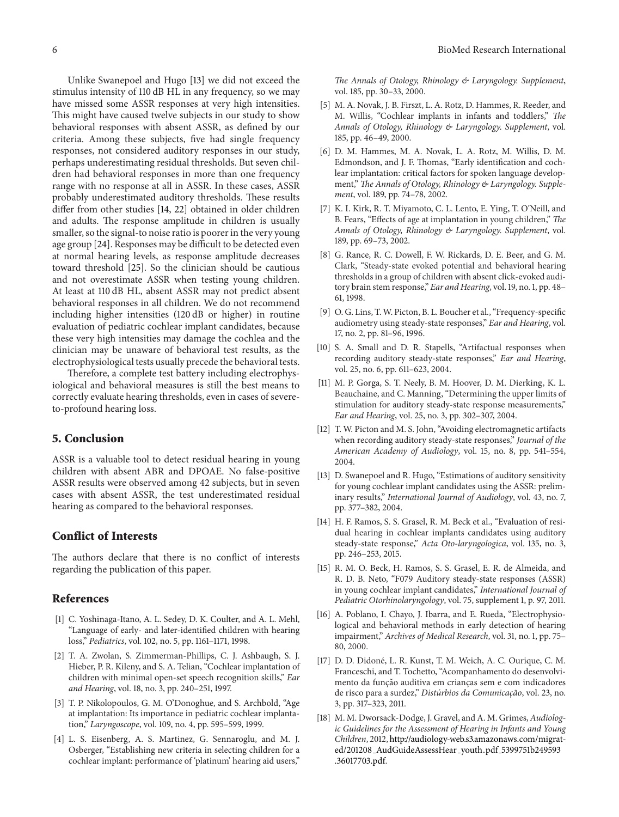Unlike Swanepoel and Hugo [13] we did not exceed the stimulus intensity of 110 dB HL in any frequency, so we may have missed some ASSR responses at very high intensities. This might have caused twelve subjects in our study to show behavioral responses with absent ASSR, as defined by our criteria. Among these subjects, five had single frequency responses, not considered auditory responses in our study, perhaps underestimating residual thresholds. But seven children had behavioral responses in more than one frequency range with no response at all in ASSR. In these cases, ASSR probably underestimated auditory thresholds. These results differ from other studies [14, 22] obtained in older children and adults. The response amplitude in children is usually smaller, so the signal-to noise ratio is poorer in the very young age group [24]. Responses may be difficult to be detected even at normal hearing levels, as response amplitude decreases toward threshold [25]. So the clinician should be cautious and not overestimate ASSR when testing young children. At least at 110 dB HL, absent ASSR may not predict absent behavioral responses in all children. We do not recommend including higher intensities (120 dB or higher) in routine evaluation of pediatric cochlear implant candidates, because these very high intensities may damage the cochlea and the clinician may be unaware of behavioral test results, as the electrophysiological tests usually precede the behavioral tests.

Therefore, a complete test battery including electrophysiological and behavioral measures is still the best means to correctly evaluate hearing thresholds, even in cases of severeto-profound hearing loss.

#### **5. Conclusion**

ASSR is a valuable tool to detect residual hearing in young children with absent ABR and DPOAE. No false-positive ASSR results were observed among 42 subjects, but in seven cases with absent ASSR, the test underestimated residual hearing as compared to the behavioral responses.

#### **Conflict of Interests**

The authors declare that there is no conflict of interests regarding the publication of this paper.

#### **References**

- [1] C. Yoshinaga-Itano, A. L. Sedey, D. K. Coulter, and A. L. Mehl, "Language of early- and later-identified children with hearing loss," *Pediatrics*, vol. 102, no. 5, pp. 1161–1171, 1998.
- [2] T. A. Zwolan, S. Zimmerman-Phillips, C. J. Ashbaugh, S. J. Hieber, P. R. Kileny, and S. A. Telian, "Cochlear implantation of children with minimal open-set speech recognition skills," *Ear and Hearing*, vol. 18, no. 3, pp. 240–251, 1997.
- [3] T. P. Nikolopoulos, G. M. O'Donoghue, and S. Archbold, "Age at implantation: Its importance in pediatric cochlear implantation," *Laryngoscope*, vol. 109, no. 4, pp. 595–599, 1999.
- [4] L. S. Eisenberg, A. S. Martinez, G. Sennaroglu, and M. J. Osberger, "Establishing new criteria in selecting children for a cochlear implant: performance of 'platinum' hearing aid users,"

*The Annals of Otology, Rhinology & Laryngology. Supplement*, vol. 185, pp. 30–33, 2000.

- [5] M. A. Novak, J. B. Firszt, L. A. Rotz, D. Hammes, R. Reeder, and M. Willis, "Cochlear implants in infants and toddlers," *The Annals of Otology, Rhinology & Laryngology. Supplement*, vol. 185, pp. 46–49, 2000.
- [6] D. M. Hammes, M. A. Novak, L. A. Rotz, M. Willis, D. M. Edmondson, and J. F. Thomas, "Early identification and cochlear implantation: critical factors for spoken language development," *The Annals of Otology, Rhinology & Laryngology. Supplement*, vol. 189, pp. 74–78, 2002.
- [7] K. I. Kirk, R. T. Miyamoto, C. L. Lento, E. Ying, T. O'Neill, and B. Fears, "Effects of age at implantation in young children," *The Annals of Otology, Rhinology & Laryngology. Supplement*, vol. 189, pp. 69–73, 2002.
- [8] G. Rance, R. C. Dowell, F. W. Rickards, D. E. Beer, and G. M. Clark, "Steady-state evoked potential and behavioral hearing thresholds in a group of children with absent click-evoked auditory brain stem response," *Ear and Hearing*, vol. 19, no. 1, pp. 48– 61, 1998.
- [9] O. G. Lins, T. W. Picton, B. L. Boucher et al., "Frequency-specific audiometry using steady-state responses," *Ear and Hearing*, vol. 17, no. 2, pp. 81–96, 1996.
- [10] S. A. Small and D. R. Stapells, "Artifactual responses when recording auditory steady-state responses," *Ear and Hearing*, vol. 25, no. 6, pp. 611–623, 2004.
- [11] M. P. Gorga, S. T. Neely, B. M. Hoover, D. M. Dierking, K. L. Beauchaine, and C. Manning, "Determining the upper limits of stimulation for auditory steady-state response measurements," *Ear and Hearing*, vol. 25, no. 3, pp. 302–307, 2004.
- [12] T. W. Picton and M. S. John, "Avoiding electromagnetic artifacts when recording auditory steady-state responses," *Journal of the American Academy of Audiology*, vol. 15, no. 8, pp. 541–554, 2004.
- [13] D. Swanepoel and R. Hugo, "Estimations of auditory sensitivity for young cochlear implant candidates using the ASSR: preliminary results," *International Journal of Audiology*, vol. 43, no. 7, pp. 377–382, 2004.
- [14] H. F. Ramos, S. S. Grasel, R. M. Beck et al., "Evaluation of residual hearing in cochlear implants candidates using auditory steady-state response," *Acta Oto-laryngologica*, vol. 135, no. 3, pp. 246–253, 2015.
- [15] R. M. O. Beck, H. Ramos, S. S. Grasel, E. R. de Almeida, and R. D. B. Neto, "F079 Auditory steady-state responses (ASSR) in young cochlear implant candidates," *International Journal of Pediatric Otorhinolaryngology*, vol. 75, supplement 1, p. 97, 2011.
- [16] A. Poblano, I. Chayo, J. Ibarra, and E. Rueda, "Electrophysiological and behavioral methods in early detection of hearing impairment," *Archives of Medical Research*, vol. 31, no. 1, pp. 75– 80, 2000.
- [17] D. D. Didoné, L. R. Kunst, T. M. Weich, A. C. Ourique, C. M. Franceschi, and T. Tochetto, "Acompanhamento do desenvolvimento da função auditiva em crianças sem e com indicadores de risco para a surdez," *Disturbios da Comunicac ´ ¸ao˜* , vol. 23, no. 3, pp. 317–323, 2011.
- [18] M. M. Dworsack-Dodge, J. Gravel, and A. M. Grimes, *Audiologic Guidelines for the Assessment of Hearing in Infants and Young Children*, 2012, http://audiology-web.s3.amazonaws.com/migrated/201208 AudGuideAssessHear youth.pdf 5399751b249593 .36017703.pdf.